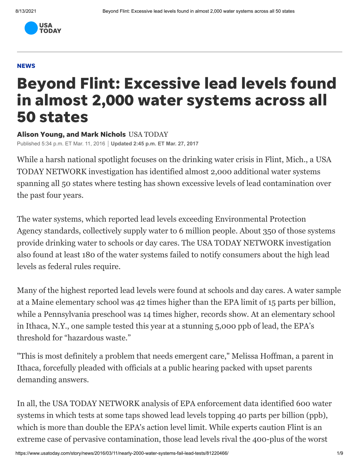

## **NEWS**

## Beyond Flint: Excessive lead levels found in almost 2,000 water systems across all 50 states

Alison Young, and Mark Nichols USA TODAY

Published 5:34 p.m. ET Mar. 11, 2016 **Updated 2:45 p.m. ET Mar. 27, 2017**

While a harsh national spotlight focuses on the drinking water crisis in Flint, Mich., a USA TODAY NETWORK investigation has identified almost 2,000 additional water systems spanning all 50 states where testing has shown excessive levels of lead contamination over the past four years.

The water systems, which reported lead levels exceeding Environmental Protection Agency standards, collectively supply water to 6 million people. About 350 of those systems provide drinking water to schools or day cares. The USA TODAY NETWORK investigation also found at least 180 of the water systems failed to notify consumers about the high lead levels as federal rules require.

Many of the highest reported lead levels were found at schools and day cares. A water sample at a Maine elementary school was 42 times higher than the EPA limit of 15 parts per billion, while a Pennsylvania preschool was 14 times higher, records show. At an elementary school in Ithaca, N.Y., one sample tested this year at a stunning 5,000 ppb of lead, the EPA's threshold for "hazardous waste."

"This is most definitely a problem that needs emergent care," Melissa Hoffman, a parent in Ithaca, forcefully pleaded with officials at a public hearing packed with upset parents demanding answers.

In all, the USA TODAY NETWORK analysis of EPA enforcement data identified 600 water systems in which tests at some taps showed lead levels topping 40 parts per billion (ppb), which is more than double the EPA's action level limit. While experts caution Flint is an extreme case of pervasive contamination, those lead levels rival the 400-plus of the worst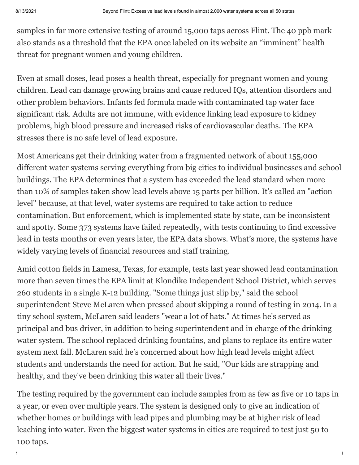samples in far more extensive testing of around 15,000 taps across Flint. The 40 ppb mark also stands as a threshold that the EPA once labeled on its website an "imminent" health threat for pregnant women and young children.

Even at small doses, lead poses a health threat, especially for pregnant women and young children. Lead can damage growing brains and cause reduced IQs, attention disorders and other problem behaviors. Infants fed formula made with contaminated tap water face significant risk. Adults are not immune, with evidence linking lead exposure to kidney [problems, high blood pressure and increased risks of cardiovascular deaths.](https://www.usatoday.com/story/news/nation/2016/03/16/what-lead-levels-in-water-mean/81534336/) The EPA stresses there is no safe level of lead exposure.

Most Americans get their drinking water from a fragmented network of about 155,000 different water systems serving everything from big cities to individual businesses and school buildings. The EPA determines that a system has exceeded the lead standard when more than 10% of samples taken show lead levels above 15 parts per billion. It's called an "action level" because, at that level, water systems are required to take action to reduce contamination. But enforcement, which is implemented state by state, can be inconsistent and spotty. Some 373 systems have failed repeatedly, with tests continuing to find excessive lead in tests months or even years later, the EPA data shows. What's more, the systems have widely varying levels of financial resources and staff training.

Amid cotton fields in Lamesa, Texas, for example, tests last year showed lead contamination more than seven times the EPA limit at Klondike Independent School District, which serves 260 students in a single K-12 building. "Some things just slip by," said the school superintendent Steve McLaren when pressed about skipping a round of testing in 2014. In a tiny school system, McLaren said leaders "wear a lot of hats." At times he's served as principal and bus driver, in addition to being superintendent and in charge of the drinking water system. The school replaced drinking fountains, and plans to replace its entire water system next fall. McLaren said he's concerned about how high lead levels might affect students and understands the need for action. But he said, "Our kids are strapping and healthy, and they've been drinking this water all their lives."

The testing required by the government can include samples from as few as five or 10 taps in a year, or even over multiple years. The system is designed only to give an indication of whether homes or buildings with lead pipes and plumbing may be at higher risk of lead leaching into water. Even the biggest water systems in cities are required to test just 50 to 100 taps.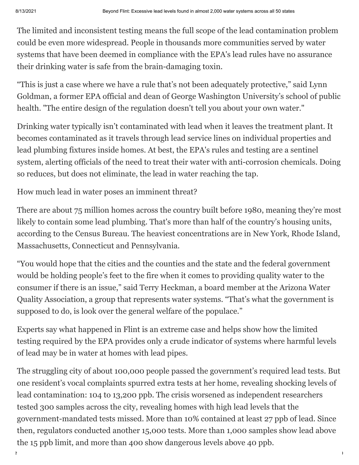The limited and inconsistent testing means the full scope of the lead contamination problem could be even more widespread. People in thousands more communities served by water systems that have been deemed in compliance with the EPA's lead rules have no assurance their drinking water is safe from the brain-damaging toxin.

"This is just a case where we have a rule that's not been adequately protective," said Lynn Goldman, a former EPA official and dean of George Washington University's school of public health. "The entire design of the regulation doesn't tell you about your own water."

Drinking water typically isn't contaminated with lead when it leaves the treatment plant. It becomes contaminated as it travels through lead service lines on individual properties and lead plumbing fixtures inside homes. At best, the EPA's rules and testing are a sentinel system, alerting officials of the need to treat their water with anti-corrosion chemicals. Doing so reduces, but does not eliminate, the lead in water reaching the tap.

[How much lead in water poses an imminent threat?](https://www.usatoday.com/story/news/nation/2016/03/16/what-lead-levels-in-water-mean/81534336/)

There are about 75 million homes across the country built before 1980, meaning they're most likely to contain some lead plumbing. That's more than half of the country's housing units, according to the Census Bureau. The heaviest concentrations are in New York, Rhode Island, Massachusetts, Connecticut and Pennsylvania.

"You would hope that the cities and the counties and the state and the federal government would be holding people's feet to the fire when it comes to providing quality water to the consumer if there is an issue," said Terry Heckman, a board member at the Arizona Water Quality Association, a group that represents water systems. "That's what the government is supposed to do, is look over the general welfare of the populace."

Experts say what happened in Flint is an extreme case and helps show how the limited testing required by the EPA provides only a crude indicator of systems where harmful levels of lead may be in water at homes with lead pipes.

The struggling city of about 100,000 people passed the government's required lead tests. But one resident's vocal complaints spurred extra tests at her home, revealing shocking levels of lead contamination: 104 to 13,200 ppb. The crisis worsened as independent researchers tested 300 samples across the city, revealing homes with high lead levels that the government-mandated tests missed. More than 10% contained at least 27 ppb of lead. Since then, regulators conducted another 15,000 tests. More than 1,000 samples show lead above the 15 ppb limit, and more than 400 show dangerous levels above 40 ppb.

https://www.usatoday.com/story/news/2016/03/11/nearly-2000-water-systems-fail-lead-tests/81220466/ 3/9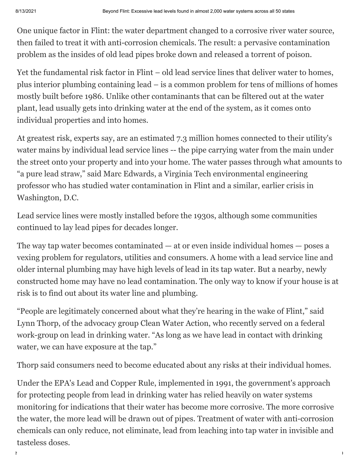One unique factor in Flint: the water department changed to a corrosive river water source, then failed to treat it with anti-corrosion chemicals. The result: a pervasive contamination problem as the insides of old lead pipes broke down and released a torrent of poison.

Yet the fundamental risk factor in Flint – [old lead service lines that deliver water to homes](https://youtu.be/nQSRWovWfvo), plus interior plumbing containing lead – is a common problem for tens of millions of homes mostly built before 1986. Unlike other contaminants that can be filtered out at the water plant, lead usually gets into drinking water at the end of the system, as it comes onto individual properties and into homes.

At greatest risk, experts say, are an estimated 7.3 million homes connected to their utility's water mains by individual lead service lines -- the pipe carrying water from the main under the street onto your property and into your home. The water passes through what amounts to "a pure lead straw," said Marc Edwards, a Virginia Tech environmental engineering professor who has studied water contamination in Flint and a similar, earlier crisis in Washington, D.C.

Lead service lines were mostly installed before the 1930s, although some communities continued to lay lead pipes for decades longer.

The way tap water becomes contaminated  $-$  at or even inside individual homes  $-$  poses a vexing problem for regulators, utilities and consumers. A home with a lead service line and older internal plumbing may have high levels of lead in its tap water. But a nearby, newly constructed home may have no lead contamination. The only way to know if your house is at risk is to find out about its water line and plumbing.

"People are legitimately concerned about what they're hearing in the wake of Flint," said Lynn Thorp, of the advocacy group Clean Water Action, who recently served on a federal work-group on lead in drinking water. "As long as we have lead in contact with drinking water, we can have exposure at the tap."

Thorp said consumers need to become educated about any risks at their individual homes.

Under the EPA's Lead and Copper Rule, implemented in 1991, the government's approach for protecting people from lead in drinking water has relied heavily on water systems monitoring for indications that their water has become more corrosive. The more corrosive the water, the more lead will be drawn out of pipes. Treatment of water with anti-corrosion chemicals can only reduce, not eliminate, lead from leaching into tap water in invisible and tasteless doses.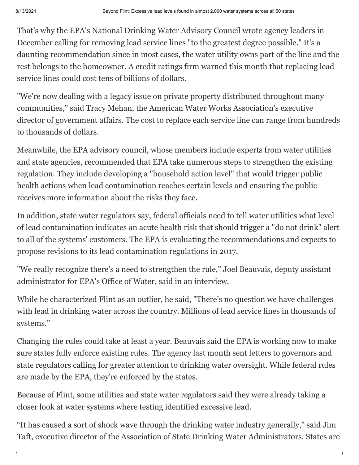That's why the EPA's National Drinking Water Advisory Council wrote agency leaders in December calling for removing lead service lines "to the greatest degree possible." It's a daunting recommendation since in most cases, the water utility owns part of the line and the rest belongs to the homeowner. A credit ratings firm warned this month that replacing lead service lines could cost tens of billions of dollars.

"We're now dealing with a legacy issue on private property distributed throughout many communities," said Tracy Mehan, the American Water Works Association's executive director of government affairs. The cost to replace each service line can range from hundreds to thousands of dollars.

Meanwhile, the EPA advisory council, whose members include experts from water utilities and state agencies, recommended that EPA take numerous steps to strengthen the existing regulation. They include developing a "household action level" that would trigger public health actions when lead contamination reaches certain levels and ensuring the public receives more information about the risks they face.

In addition, state water regulators say, federal officials need to tell water utilities what level of lead contamination indicates an acute health risk that should trigger a "do not drink" alert to all of the systems' customers. The EPA is evaluating the recommendations and expects to propose revisions to its lead contamination regulations in 2017.

"We really recognize there's a need to strengthen the rule," Joel Beauvais, deputy assistant administrator for EPA's Office of Water, said in an interview.

While he characterized Flint as an outlier, he said, "There's no question we have challenges with lead in drinking water across the country. Millions of lead service lines in thousands of systems."

Changing the rules could take at least a year. Beauvais said the EPA is working now to make sure states fully enforce existing rules. The agency last month sent letters to governors and state regulators calling for greater attention to drinking water oversight. While federal rules are made by the EPA, they're enforced by the states.

Because of Flint, some utilities and state water regulators said they were already taking a closer look at water systems where testing identified excessive lead.

"It has caused a sort of shock wave through the drinking water industry generally," said Jim Taft, executive director of the Association of State Drinking Water Administrators. States are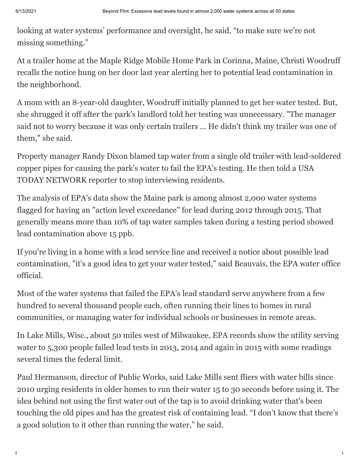looking at water systems' performance and oversight, he said, "to make sure we're not missing something."

At a trailer home at the Maple Ridge Mobile Home Park in Corinna, Maine, Christi Woodruff recalls the notice hung on her door last year alerting her to potential lead contamination in the neighborhood.

A mom with an 8-year-old daughter, Woodruff initially planned to get her water tested. But, she shrugged it off after the park's landlord told her testing was unnecessary. "The manager said not to worry because it was only certain trailers ... He didn't think my trailer was one of them," she said.

Property manager Randy Dixon blamed tap water from a single old trailer with lead-soldered copper pipes for causing the park's water to fail the EPA's testing. He then told a USA TODAY NETWORK reporter to stop interviewing residents.

The analysis of EPA's data show the Maine park is among almost 2,000 water systems flagged for having an "action level exceedance" for lead during 2012 through 2015. That generally means more than 10% of tap water samples taken during a testing period showed lead contamination above 15 ppb.

If you're living in a home with a lead service line and received a notice about possible lead contamination, "it's a good idea to get your water tested," said Beauvais, the EPA water office official.

Most of the water systems that failed the EPA's lead standard serve anywhere from a few hundred to several thousand people each, often running their lines to homes in rural communities, or managing water for individual schools or businesses in remote areas.

In Lake Mills, Wisc., about 50 miles west of Milwaukee, EPA records show the utility serving water to 5,300 people failed lead tests in 2013, 2014 and again in 2015 with some readings several times the federal limit.

Paul Hermanson, director of Public Works, said Lake Mills sent fliers with water bills since 2010 urging residents in older homes to run their water 15 to 30 seconds before using it. The idea behind not using the first water out of the tap is to avoid drinking water that's been touching the old pipes and has the greatest risk of containing lead. "I don't know that there's a good solution to it other than running the water," he said.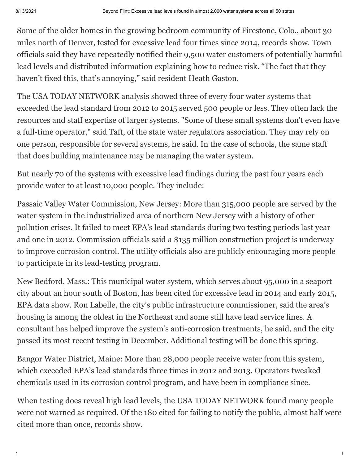Some of the older homes in the growing bedroom community of Firestone, Colo., about 30 miles north of Denver, tested for excessive lead four times since 2014, records show. Town officials said they have repeatedly notified their 9,500 water customers of potentially harmful lead levels and distributed information explaining how to reduce risk. "The fact that they haven't fixed this, that's annoying," said resident Heath Gaston.

The USA TODAY NETWORK analysis showed three of every four water systems that exceeded the lead standard from 2012 to 2015 served 500 people or less. They often lack the resources and staff expertise of larger systems. "Some of these small systems don't even have a full-time operator," said Taft, of the state water regulators association. They may rely on one person, responsible for several systems, he said. In the case of schools, the same staff that does building maintenance may be managing the water system.

But nearly 70 of the systems with excessive lead findings during the past four years each provide water to at least 10,000 people. They include:

Passaic Valley Water Commission, New Jersey: More than 315,000 people are served by the water system in the industrialized area of northern New Jersey with a history of other pollution crises. It failed to meet EPA's lead standards during two testing periods last year and one in 2012. Commission officials said a \$135 million construction project is underway to improve corrosion control. The utility officials also are publicly encouraging more people to participate in its lead-testing program.

New Bedford, Mass.: This municipal water system, which serves about 95,000 in a seaport city about an hour south of Boston, has been cited for excessive lead in 2014 and early 2015, EPA data show. Ron Labelle, the city's public infrastructure commissioner, said the area's housing is among the oldest in the Northeast and some still have lead service lines. A consultant has helped improve the system's anti-corrosion treatments, he said, and the city passed its most recent testing in December. Additional testing will be done this spring.

Bangor Water District, Maine: More than 28,000 people receive water from this system, which exceeded EPA's lead standards three times in 2012 and 2013. Operators tweaked chemicals used in its corrosion control program, and have been in compliance since.

When testing does reveal high lead levels, the USA TODAY NETWORK found many people were not warned as required. Of the 180 cited for failing to notify the public, almost half were cited more than once, records show.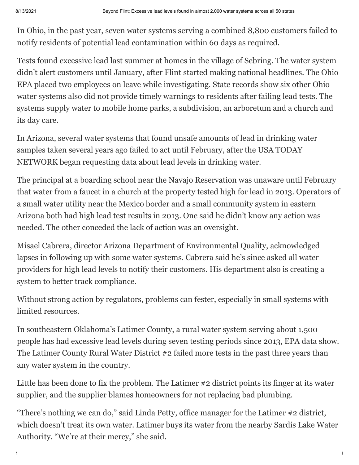[In Ohio, in the past year, seven water systems serving a combined 8,800 customers failed to](https://www.usatoday.com/story/news/local/2016/02/29/sebring-ohios-lead-problem/81099964/) notify residents of potential lead contamination within 60 days as required.

Tests found excessive lead last summer at homes in the village of Sebring. The water system didn't alert customers until January, after Flint started making national headlines. The Ohio EPA placed two employees on leave while investigating. State records show six other Ohio water systems also did not provide timely warnings to residents after failing lead tests. The systems supply water to mobile home parks, a subdivision, an arboretum and a church and its day care.

In Arizona, several water systems that found unsafe amounts of lead in drinking water samples taken several years ago failed to act until February, after the USA TODAY NETWORK began requesting data about lead levels in drinking water.

The principal at a boarding school near the Navajo Reservation was unaware until February that water from a faucet in a church at the property tested high for lead in 2013. Operators of a small water utility near the Mexico border and a small community system in eastern Arizona both had high lead test results in 2013. One said he didn't know any action was needed. The other conceded the lack of action was an oversight.

Misael Cabrera, director Arizona Department of Environmental Quality, acknowledged lapses in following up with some water systems. Cabrera said he's since asked all water providers for high lead levels to notify their customers. His department also is creating a system to better track compliance.

Without strong action by regulators, problems can fester, especially in small systems with limited resources.

In southeastern Oklahoma's Latimer County, a rural water system serving about 1,500 people has had excessive lead levels during seven testing periods since 2013, EPA data show. The Latimer County Rural Water District #2 failed more tests in the past three years than any water system in the country.

Little has been done to fix the problem. The Latimer #2 district points its finger at its water supplier, and the supplier blames homeowners for not replacing bad plumbing.

"There's nothing we can do," said Linda Petty, office manager for the Latimer #2 district, which doesn't treat its own water. Latimer buys its water from the nearby Sardis Lake Water Authority. "We're at their mercy," she said.